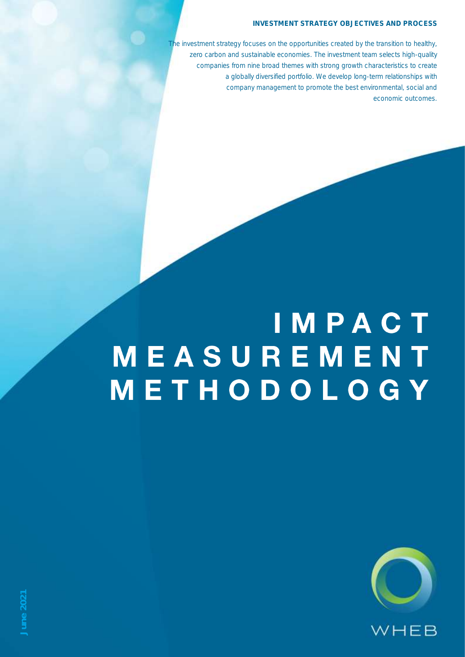### INVESTMENT STRATEGY OBJECTIVES AND PROCESS

The investment strategy focuses on the opportunities created by the transition to healthy, zero carbon and sustainable economies. The investment team selects high-quality companies from nine broad themes with strong growth characteristics to create a globally diversified portfolio. We develop long-term relationships with company management to promote the best environmental, social and economic outcomes.

## IMPACT MEASUREMENT METHODOLOGY

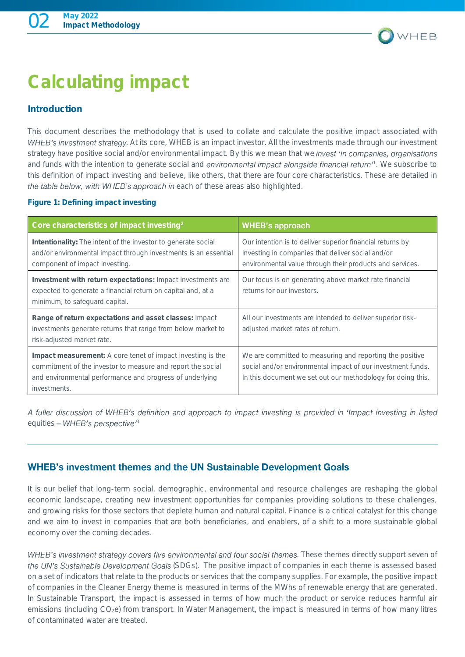

### Calculating impact

### Introduction

*This document describes the methodology that is used to collate and calculate the positive impact associated with*  **WHEB's investment strategy**. At its core, WHEB is an impact investor. All the investments made through our investment *strategy have positive social and/or environmental impact. By this we mean that we and funds with the intention to generate social and <sup>1</sup> . We subscribe to this definition of impact investing and believe, like others, that there are four core characteristics. These are detailed in*  the table below, with WHEB's approach in each of these areas also highlighted.

### Figure 1: Defining impact investing

| Core characteristics of impact investing <sup>2</sup>                                                                                                                                                         | <b>WHEB's approach</b>                                                                                                                                                                 |
|---------------------------------------------------------------------------------------------------------------------------------------------------------------------------------------------------------------|----------------------------------------------------------------------------------------------------------------------------------------------------------------------------------------|
| Intentionality: The intent of the investor to generate social<br>and/or environmental impact through investments is an essential<br>component of impact investing.                                            | Our intention is to deliver superior financial returns by<br>investing in companies that deliver social and/or<br>environmental value through their products and services.             |
| Investment with return expectations: Impact investments are<br>expected to generate a financial return on capital and, at a<br>minimum, to safeguard capital.                                                 | Our focus is on generating above market rate financial<br>returns for our investors.                                                                                                   |
| Range of return expectations and asset classes: Impact<br>investments generate returns that range from below market to<br>risk-adjusted market rate.                                                          | All our investments are intended to deliver superior risk-<br>adjusted market rates of return.                                                                                         |
| Impact measurement: A core tenet of impact investing is the<br>commitment of the investor to measure and report the social<br>and environmental performance and progress of underlying<br><i>investments.</i> | We are committed to measuring and reporting the positive<br>social and/or environmental impact of our investment funds.<br>In this document we set out our methodology for doing this. |

A fuller discussion of WHEB's definition and approach to impact investing is provided in 'Impact investing in listed equities - WHEB's perspective<sup>13</sup>

### **WHEB's investment themes and the UN Sustainable Development Goals**

*It is our belief that long-term social, demographic, environmental and resource challenges are reshaping the global economic landscape, creating new investment opportunities for companies providing solutions to these challenges, and growing risks for those sectors that deplete human and natural capital. Finance is a critical catalyst for this change and we aim to invest in companies that are both beneficiaries, and enablers, of a shift to a more sustainable global economy over the coming decades.*

WHEB's investment strategy covers five environmental and four social themes. These themes directly support seven of the UN's Sustainable Development Goals (SDGs). The positive impact of companies in each theme is assessed based *on a set of indicators that relate to the products or services that the company supplies. For example, the positive impact of companies in the Cleaner Energy theme is measured in terms of the MWhs of renewable energy that are generated. In Sustainable Transport, the impact is assessed in terms of how much the product or service reduces harmful air emissions (including CO2e) from transport. In Water Management, the impact is measured in terms of how many litres of contaminated water are treated.*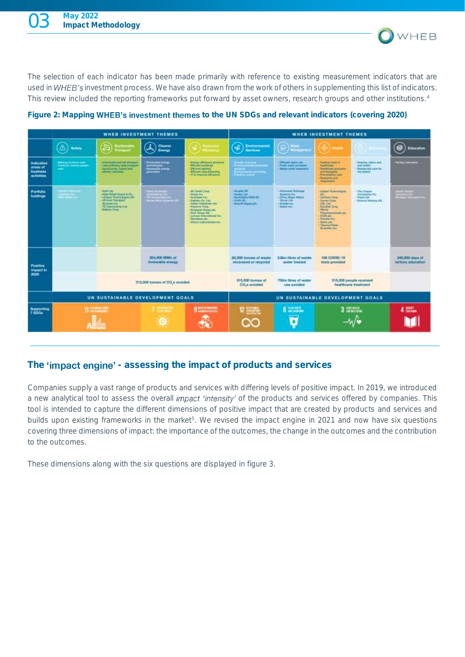*The selection of each indicator has been made primarily with reference to existing measurement indicators that are*  used in WHEB's investment process. We have also drawn from the work of others in supplementing this list of indicators. *This review included the reporting frameworks put forward by asset owners, research groups and other institutions.<sup>4</sup>*

WHEB



Figure 2: Mapping **WHEB's investment themes** to the UN SDGs and relevant indicators (covering 2020)

### The **'impact engine'** - assessing the impact of products and services

*Companies supply a vast range of products and services with differing levels of positive impact. In 2019, we introduced*  a new analytical tool to assess the overall *impact 'intensity'* of the products and services offered by companies. This *tool is intended to capture the different dimensions of positive impact that are created by products and services and builds upon existing frameworks in the market<sup>5</sup> . We revised the impact engine in 2021 and now have six questions covering three dimensions of impact: the importance of the outcomes, the change in the outcomes and the contribution to the outcomes.*

*These dimensions along with the six questions are displayed in figure 3.*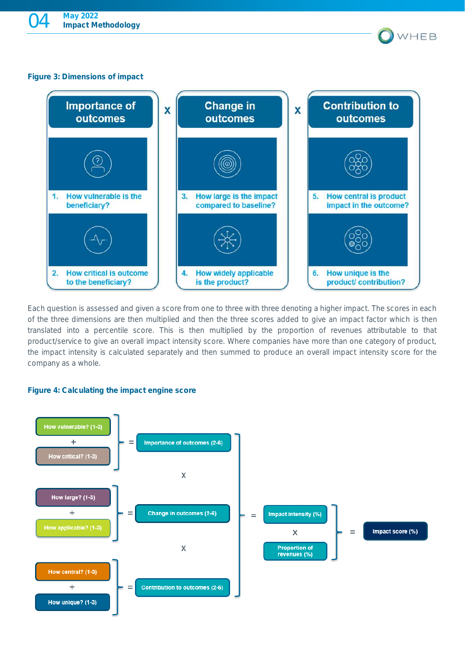### Figure 3: Dimensions of impact



WHEB

*Each question is assessed and given a score from one to three with three denoting a higher impact. The scores in each of the three dimensions are then multiplied and then the three scores added to give an impact factor which is then translated into a percentile score. This is then multiplied by the proportion of revenues attributable to that product/service to give an overall impact intensity score. Where companies have more than one category of product, the impact intensity is calculated separately and then summed to produce an overall impact intensity score for the company as a whole.*

### Figure 4: Calculating the impact engine score

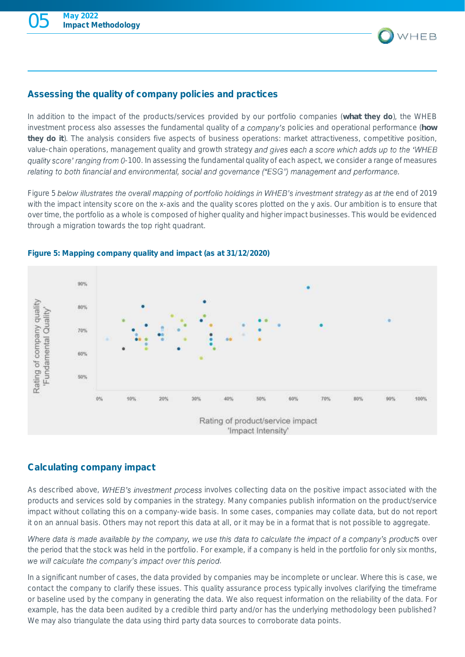

### Assessing the quality of company policies and practices

*In addition to the impact of the products/services provided by our portfolio companies (what* they do*), the WHEB investment process also assesses the fundamental quality of a company's policies and operational performance (how* they do it*). The analysis considers five aspects of business operations: market attractiveness, competitive position,*  value-chain operations, management quality and growth strategy and gives each a score which adds up to the 'WHEB *-100. In assessing the fundamental quality of each aspect, we consider a range of measures*  relating to both financial and environmental, social and governance ("ESG") management and performance.

*Figure 5 below illustrates the overall mapping of portfolio holdings in WHEB's investment strategy as at the end of 2019* with the impact intensity score on the x-axis and the quality scores plotted on the y axis. Our ambition is to ensure that *over time, the portfolio as a whole is composed of higher quality and higher impact businesses. This would be evidenced through a migration towards the top right quadrant.*



### Figure 5: Mapping company quality and impact (as at 31/12/2020)

### Calculating company impact

As described above, WHEB's investment process involves collecting data on the positive impact associated with the *products and services sold by companies in the strategy. Many companies publish information on the product/service impact without collating this on a company-wide basis. In some cases, companies may collate data, but do not report it on an annual basis. Others may not report this data at all, or it may be in a format that is not possible to aggregate.* 

Where data is made available by the company, we use this data to calculate the impact of a company's products over *the period that the stock was held in the portfolio. For example, if a company is held in the portfolio for only six months,*  we will calculate the company's impact over this period.

In a significant number of cases, the data provided by companies may be incomplete or unclear. Where this is case, we *contact the company to clarify these issues. This quality assurance process typically involves clarifying the timeframe or baseline used by the company in generating the data. We also request information on the reliability of the data. For example, has the data been audited by a credible third party and/or has the underlying methodology been published? We may also triangulate the data using third party data sources to corroborate data points.*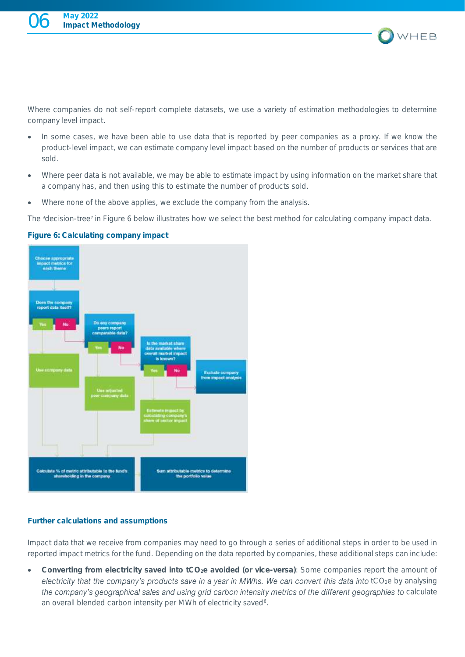

*Where companies do not self-report complete datasets, we use a variety of estimation methodologies to determine company level impact.* 

- *In some cases, we have been able to use data that is reported by peer companies as a proxy. If we know the product-level impact, we can estimate company level impact based on the number of products or services that are sold.*
- *Where peer data is not available, we may be able to estimate impact by using information on the market share that a company has, and then using this to estimate the number of products sold.*
- *Where none of the above applies, we exclude the company from the analysis.*

*The decision-tree in Figure 6 below illustrates how we select the best method for calculating company impact data.* 

# **Choose appropriate** Exclude company<br>rom impact imalys Calculate % of metric attributable to the h etrics to determin sharsholding in the or the portfolio value

### Figure 6: Calculating company impact

### Further calculations and assumptions

*Impact data that we receive from companies may need to go through a series of additional steps in order to be used in*  reported impact metrics for the fund. Depending on the data reported by companies, these additional steps can include:

• Converting from electricity saved into tCO2e avoided (or vice-versa)*: Some companies report the amount of*  electricity that the company's products save in a year in MWhs. We can convert this data into tCO<sub>2</sub>e by analysing the company's geographical sales and using grid carbon intensity metrics of the different geographies to calculate *an overall blended carbon intensity per MWh of electricity saved<sup>6</sup> .*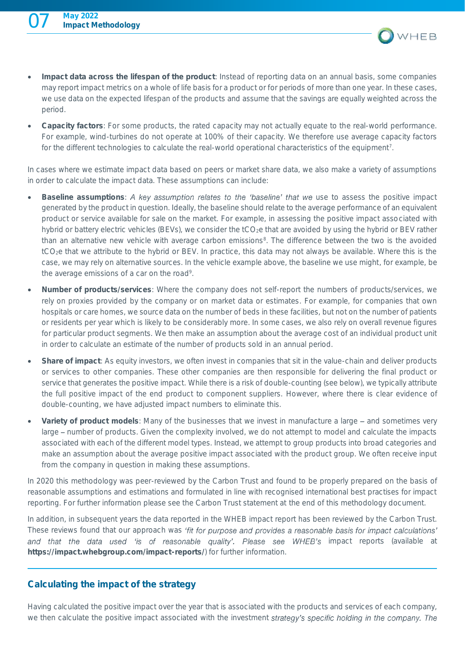

- Impact data across the lifespan of the product*: Instead of reporting data on an annual basis, some companies may report impact metrics on a whole of life basis for a product or for periods of more than one year. In these cases, we use data on the expected lifespan of the products and assume that the savings are equally weighted across the period.*
- Capacity factors*: For some products, the rated capacity may not actually equate to the real-world performance. For example, wind-turbines do not operate at 100% of their capacity. We therefore use average capacity factors for the different technologies to calculate the real-world operational characteristics of the equipment<sup>7</sup> .*

*In cases where we estimate impact data based on peers or market share data, we also make a variety of assumptions in order to calculate the impact data. These assumptions can include:*

- Baseline assumptions: A key assumption relates to the 'baseline' that we use to assess the positive impact *generated by the product in question. Ideally, the baseline should relate to the average performance of an equivalent product or service available for sale on the market. For example, in assessing the positive impact associated with hybrid or battery electric vehicles (BEVs), we consider the tCO<sub>2</sub>e that are avoided by using the hybrid or BEV rather than an alternative new vehicle with average carbon emissions<sup>8</sup> . The difference between the two is the avoided tCO2e that we attribute to the hybrid or BEV. In practice, this data may not always be available. Where this is the case, we may rely on alternative sources. In the vehicle example above, the baseline we use might, for example, be*  the average emissions of a car on the road<sup>9</sup>.
- Number of products/services*: Where the company does not self-report the numbers of products/services, we*  rely on proxies provided by the company or on market data or estimates. For example, for companies that own *hospitals or care homes, we source data on the number of beds in these facilities, but not on the number of patients or residents per year which is likely to be considerably more. In some cases, we also rely on overall revenue figures*  for particular product segments. We then make an assumption about the average cost of an individual product unit *in order to calculate an estimate of the number of products sold in an annual period.*
- Share of impact*: As equity investors, we often invest in companies that sit in the value-chain and deliver products or services to other companies. These other companies are then responsible for delivering the final product or service that generates the positive impact. While there is a risk of double-counting (see below), we typically attribute the full positive impact of the end product to component suppliers. However, where there is clear evidence of double-counting, we have adjusted impact numbers to eliminate this.*
- Variety of product models*: Many of the businesses that we invest in manufacture a large and sometimes very large – number of products. Given the complexity involved, we do not attempt to model and calculate the impacts associated with each of the different model types. Instead, we attempt to group products into broad categories and make an assumption about the average positive impact associated with the product group. We often receive input from the company in question in making these assumptions.*

*In 2020 this methodology was peer-reviewed by the Carbon Trust and found to be properly prepared on the basis of reasonable assumptions and estimations and formulated in line with recognised international best practises for impact reporting. For further information please see the Carbon Trust statement at the end of this methodology document.*

*In addition, in subsequent years the data reported in the WHEB impact report has been reviewed by the Carbon Trust. These reviews found that our approach was* and that the data used 'is of reasonable quality'. Please see WHEB's impact reports (available at <https://impact.whebgroup.com/impact-reports/>*) for further information.* 

### Calculating the impact of the strategy

*Having calculated the positive impact over the year that is associated with the products and services of each company,*  we then calculate the positive impact associated with the investment strategy's specific holding in the company. The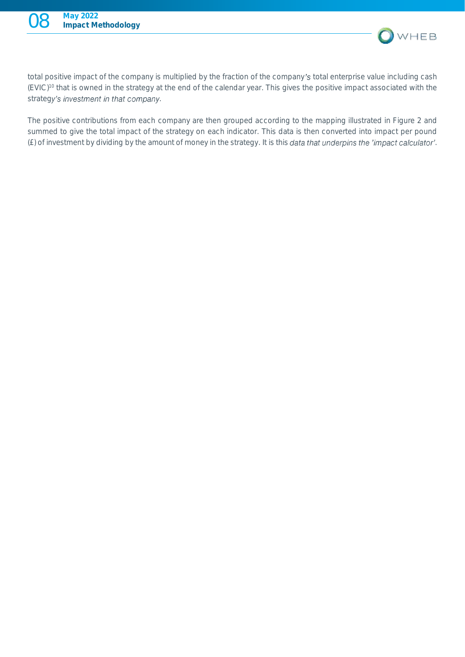

*total positive impact of the company is multiplied by the fraction of the company total enterprise value including cash (EVIC)<sup>10</sup> that is owned in the strategy at the end of the calendar year. This gives the positive impact associated with the*  strategy's investment in that company.

*The positive contributions from each company are then grouped according to the mapping illustrated in Figure 2 and summed to give the total impact of the strategy on each indicator. This data is then converted into impact per pound (£) of investment by dividing by the amount of money in the strategy. It is this data that underpins the 'impact calculator'.*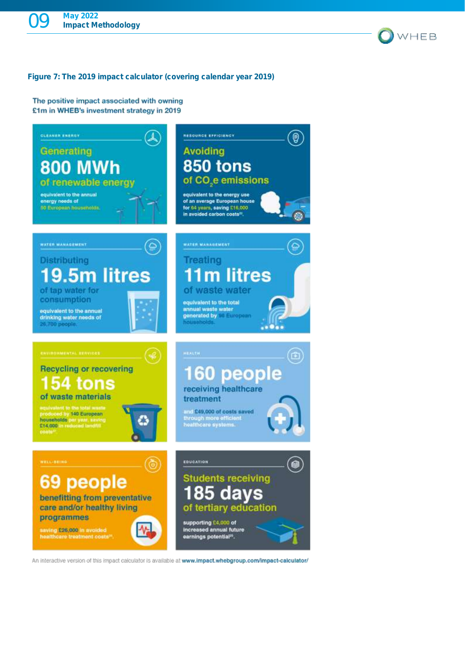

### Figure 7: The 2019 impact calculator (covering calendar year 2019)

The positive impact associated with owning £1m in WHEB's investment strategy in 2019



An interactive version of this impact calculator is available at www.impact.whebgroup.com/impact-calculator/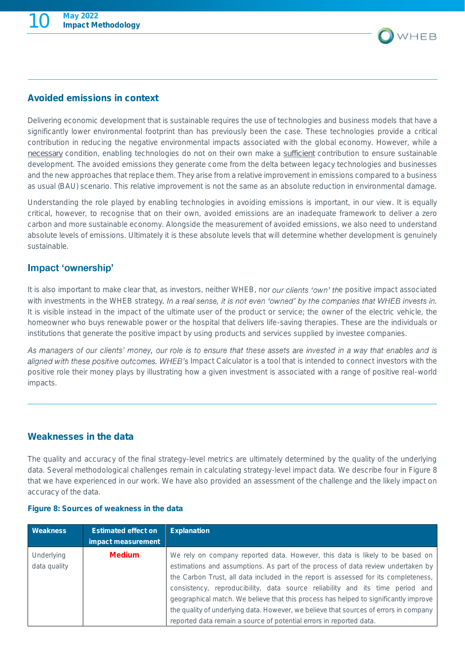

### Avoided emissions in context

*Delivering economic development that is sustainable requires the use of technologies and business models that have a significantly lower environmental footprint than has previously been the case. These technologies provide a critical contribution in reducing the negative environmental impacts associated with the global economy. However, while a necessary condition, enabling technologies do not on their own make a sufficient contribution to ensure sustainable development. The avoided emissions they generate come from the delta between legacy technologies and businesses and the new approaches that replace them. They arise from a relative improvement in emissions compared to a business as usual (BAU) scenario. This relative improvement is not the same as an absolute reduction in environmental damage.*

*Understanding the role played by enabling technologies in avoiding emissions is important, in our view. It is equally critical, however, to recognise that on their own, avoided emissions are an inadequate framework to deliver a zero carbon and more sustainable economy. Alongside the measurement of avoided emissions, we also need to understand absolute levels of emissions. Ultimately it is these absolute levels that will determine whether development is genuinely sustainable.*

### Impact 'ownership'

*It is also important to make clear that, as investors, neither WHEB, nor our clients 'own' the positive impact associated* with investments in the WHEB strategy. In a real sense, it is not even 'owned' by the companies that WHEB invests in. *It is visible instead in the impact of the ultimate user of the product or service; the owner of the electric vehicle, the homeowner who buys renewable power or the hospital that delivers life-saving therapies. These are the individuals or institutions that generate the positive impact by using products and services supplied by investee companies.*

As managers of our clients' money, our role is to ensure that these assets are invested in a way that enables and is aligned with these positive outcomes. WHEB's Impact Calculator is a tool that is intended to connect investors with the *positive role their money plays by illustrating how a given investment is associated with a range of positive real-world impacts.* 

### Weaknesses in the data

*The quality and accuracy of the final strategy-level metrics are ultimately determined by the quality of the underlying data. Several methodological challenges remain in calculating strategy-level impact data. We describe four in Figure 8*  that we have experienced in our work. We have also provided an assessment of the challenge and the likely impact on *accuracy of the data.*

### Figure 8: Sources of weakness in the data

| Weakness     | <b>Estimated effect on</b> | Explanation                                                                           |
|--------------|----------------------------|---------------------------------------------------------------------------------------|
|              | impact measurement         |                                                                                       |
| Underlying   | Medium                     | We rely on company reported data. However, this data is likely to be based on         |
| data quality |                            | estimations and assumptions. As part of the process of data review undertaken by      |
|              |                            | the Carbon Trust, all data included in the report is assessed for its completeness,   |
|              |                            | consistency, reproducibility, data source reliability and its time period and         |
|              |                            | geographical match. We believe that this process has helped to significantly improve  |
|              |                            | the quality of underlying data. However, we believe that sources of errors in company |
|              |                            | reported data remain a source of potential errors in reported data.                   |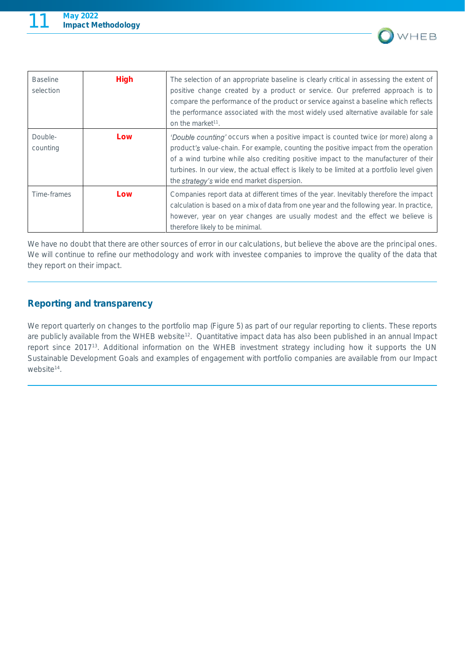

| <b>Baseline</b><br>selection | High | The selection of an appropriate baseline is clearly critical in assessing the extent of<br>positive change created by a product or service. Our preferred approach is to<br>compare the performance of the product or service against a baseline which reflects<br>the performance associated with the most widely used alternative available for sale<br>on the market <sup>11</sup> .                       |
|------------------------------|------|---------------------------------------------------------------------------------------------------------------------------------------------------------------------------------------------------------------------------------------------------------------------------------------------------------------------------------------------------------------------------------------------------------------|
| Double-<br>counting          | Low  | 'Double counting' occurs when a positive impact is counted twice (or more) along a<br>product's value-chain. For example, counting the positive impact from the operation<br>of a wind turbine while also crediting positive impact to the manufacturer of their<br>turbines. In our view, the actual effect is likely to be limited at a portfolio level given<br>the strategy's wide end market dispersion. |
| Time-frames                  | Low  | Companies report data at different times of the year. Inevitably therefore the impact<br>calculation is based on a mix of data from one year and the following year. In practice,<br>however, year on year changes are usually modest and the effect we believe is<br>therefore likely to be minimal.                                                                                                         |

*We have no doubt that there are other sources of error in our calculations, but believe the above are the principal ones.*  We will continue to refine our methodology and work with investee companies to improve the quality of the data that *they report on their impact.* 

### Reporting and transparency

*We report quarterly on changes to the portfolio map (Figure 5) as part of our regular reporting to clients. These reports are publicly available from the WHEB website<sup>12</sup> . Quantitative impact data has also been published in an annual Impact report since 2017<sup>13</sup>. Additional information on the WHEB investment strategy including how it supports the UN Sustainable Development Goals and examples of engagement with portfolio companies are available from our Impact website<sup>14</sup> .*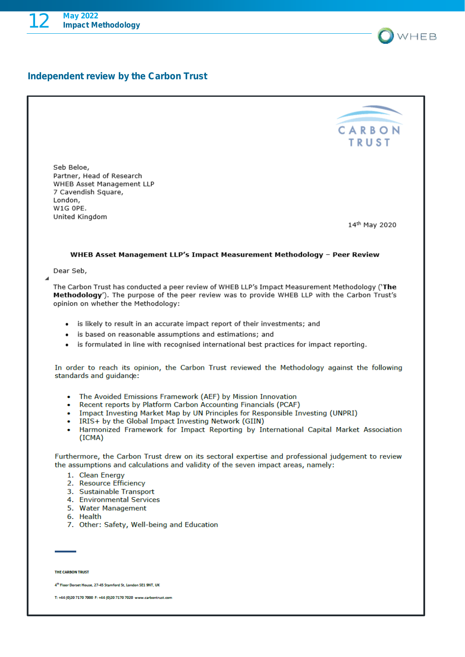

|                                                                                                                                                                                                                                         | CARBON        |
|-----------------------------------------------------------------------------------------------------------------------------------------------------------------------------------------------------------------------------------------|---------------|
|                                                                                                                                                                                                                                         | <b>TRUST</b>  |
|                                                                                                                                                                                                                                         |               |
| Seb Beloe,                                                                                                                                                                                                                              |               |
| Partner, Head of Research                                                                                                                                                                                                               |               |
| WHEB Asset Management LLP<br>7 Cavendish Square,                                                                                                                                                                                        |               |
| London,                                                                                                                                                                                                                                 |               |
| W1G OPE.                                                                                                                                                                                                                                |               |
| United Kingdom                                                                                                                                                                                                                          | 14th May 2020 |
|                                                                                                                                                                                                                                         |               |
| WHEB Asset Management LLP's Impact Measurement Methodology - Peer Review                                                                                                                                                                |               |
| Dear Seb,                                                                                                                                                                                                                               |               |
|                                                                                                                                                                                                                                         |               |
| The Carbon Trust has conducted a peer review of WHEB LLP's Impact Measurement Methodology ('The<br>Methodology'). The purpose of the peer review was to provide WHEB LLP with the Carbon Trust's<br>opinion on whether the Methodology: |               |
|                                                                                                                                                                                                                                         |               |
| is likely to result in an accurate impact report of their investments; and<br>٠                                                                                                                                                         |               |
| • is based on reasonable assumptions and estimations; and                                                                                                                                                                               |               |
| is formulated in line with recognised international best practices for impact reporting.                                                                                                                                                |               |
| In order to reach its opinion, the Carbon Trust reviewed the Methodology against the following<br>standards and guidance:                                                                                                               |               |
| • The Avoided Emissions Framework (AEF) by Mission Innovation                                                                                                                                                                           |               |
| • Recent reports by Platform Carbon Accounting Financials (PCAF)                                                                                                                                                                        |               |
| • Impact Investing Market Map by UN Principles for Responsible Investing (UNPRI)<br>• IRIS+ by the Global Impact Investing Network (GIIN)                                                                                               |               |
| • Harmonized Framework for Impact Reporting by International Capital Market Association                                                                                                                                                 |               |
| (ICMA)                                                                                                                                                                                                                                  |               |
| Furthermore, the Carbon Trust drew on its sectoral expertise and professional judgement to review                                                                                                                                       |               |
| the assumptions and calculations and validity of the seven impact areas, namely:                                                                                                                                                        |               |
| 1. Clean Energy                                                                                                                                                                                                                         |               |
| 2. Resource Efficiency                                                                                                                                                                                                                  |               |
| 3. Sustainable Transport<br>4. Environmental Services                                                                                                                                                                                   |               |
| 5. Water Management                                                                                                                                                                                                                     |               |
| 6. Health                                                                                                                                                                                                                               |               |
| 7. Other: Safety, Well-being and Education                                                                                                                                                                                              |               |
|                                                                                                                                                                                                                                         |               |
|                                                                                                                                                                                                                                         |               |
| THE CARBON TRUST                                                                                                                                                                                                                        |               |
| 4th Floor Dorset House, 27-45 Stamford St, London SE1 9NT, UK                                                                                                                                                                           |               |
|                                                                                                                                                                                                                                         |               |
| T: +44 (0)20 7170 7000 F: +44 (0)20 7170 7020 www.carbontrust.com                                                                                                                                                                       |               |

OWHEB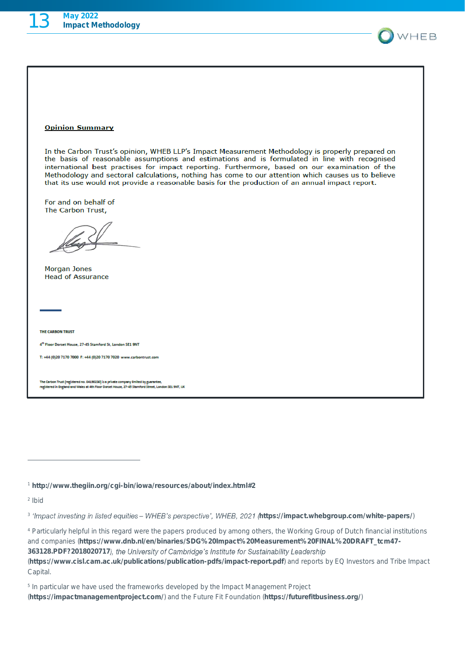

#### **Opinion Summary**

In the Carbon Trust's opinion, WHEB LLP's Impact Measurement Methodology is properly prepared on the basis of reasonable assumptions and estimations and is formulated in line with recognised international best practises for impact reporting. Furthermore, based on our examination of the Methodology and sectoral calculations, nothing has come to our attention which causes us to believe that its use would not provide a reasonable basis for the production of an annual impact report.

For and on behalf of The Carbon Trust,

**Morgan Jones Head of Assurance** 

THE CARBON TRUST

4<sup>th</sup> Floor Dorset House, 27-45 Stamford St, London SE1 9NT

T: +44 (0)20 7170 7000 F: +44 (0)20 7170 7020 www.carbontrust.com

The Carbon Trust (registered no. 04190230) is a private company limited by guarantee,<br>registered in England and Wales at 4th Floor Dorset House, 27-45 Stamford Street, London SE1 9NT, UK

*<sup>1</sup>* <http://www.thegiin.org/cgi-bin/iowa/resources/about/index.html#2>

*2 Ibid*

<sup>3</sup> 'Impact investing in listed equities - WHEB's perspective', WHEB, 2021 (<https://impact.whebgroup.com/white-papers/>)

*<sup>4</sup> Particularly helpful in this regard were the papers produced by among others, the Working Group of Dutch financial institutions and companies (*[https://www.dnb.nl/en/binaries/SDG%20Impact%20Measurement%20FINAL%20DRAFT\\_tcm47-](https://www.dnb.nl/en/binaries/SDG%20Impact%20Measurement%20FINAL%20DRAFT_tcm47-363128.PDF?2018020717) [363128.PDF?2018020717](https://www.dnb.nl/en/binaries/SDG%20Impact%20Measurement%20FINAL%20DRAFT_tcm47-363128.PDF?2018020717)), the University of Cambridge's Institute for Sustainability Leadership *(*<https://www.cisl.cam.ac.uk/publications/publication-pdfs/impact-report.pdf>*) and reports by EQ Investors and Tribe Impact Capital.*

*5 In particular we have used the frameworks developed by the Impact Management Project (*<https://impactmanagementproject.com/>*) and the Future Fit Foundation (*<https://futurefitbusiness.org/>*)*